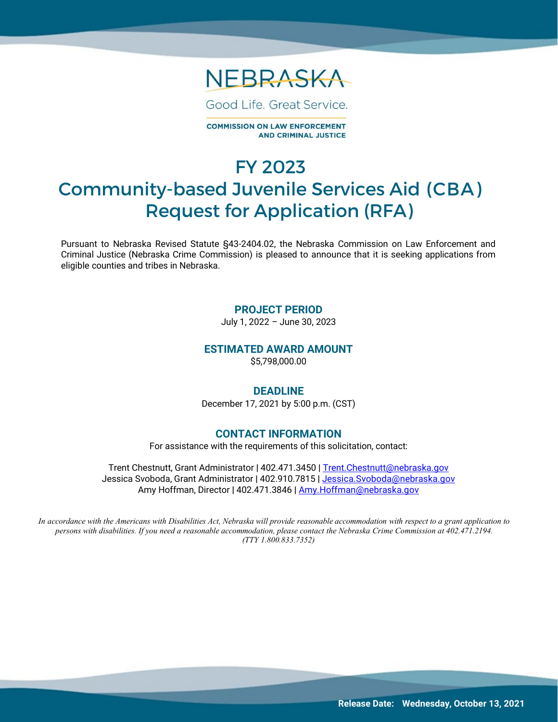

Good Life, Great Service.

**COMMISSION ON LAW ENFORCEMENT AND CRIMINAL JUSTICE** 

# FY 2023 Community-based Juvenile Services Aid (CBA) Request for Application (RFA)

Pursuant to Nebraska Revised Statute §43-2404.02, the Nebraska Commission on Law Enforcement and Criminal Justice (Nebraska Crime Commission) is pleased to announce that it is seeking applications from eligible counties and tribes in Nebraska.

#### **PROJECT PERIOD**

July 1, 2022 – June 30, 2023

#### **ESTIMATED AWARD AMOUNT**

\$5,798,000.00

#### **DEADLINE**

December 17, 2021 by 5:00 p.m. (CST)

#### **CONTACT INFORMATION**

For assistance with the requirements of this solicitation, contact:

Trent Chestnutt, Grant Administrator **|** 402.471.3450 **|** [Trent.Chestnutt@nebraska.gov](mailto:Trent.Chestnutt@nebraska.gov) Jessica Svoboda, Grant Administrator **|** 402.910.7815 **|** [Jessica.Svoboda@nebraska.gov](mailto:Jessica.Svoboda@nebraska.gov) Amy Hoffman, Director **|** 402.471.3846 **|** [Amy.Hoffman@nebraska.gov](mailto:Amy.Hoffman@nebraska.gov)

In accordance with the Americans with Disabilities Act, Nebraska will provide reasonable accommodation with respect to a grant application to *persons with disabilities. If you need a reasonable accommodation, please contact the Nebraska Crime Commission at 402.471.2194. (TTY 1.800.833.7352)*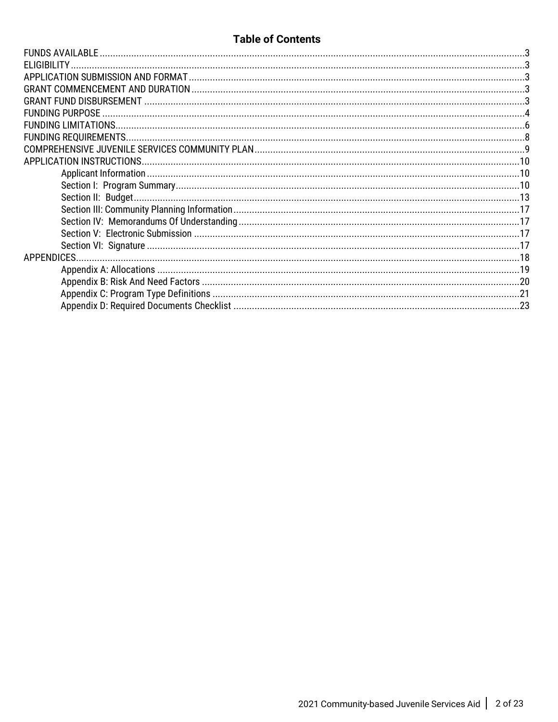## **Table of Contents**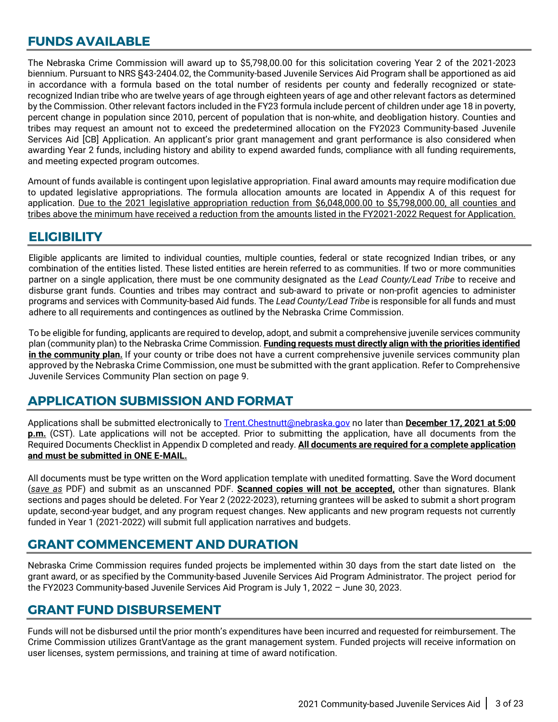## <span id="page-2-0"></span>**FUNDS AVAILABLE**

The Nebraska Crime Commission will award up to \$5,798,00.00 for this solicitation covering Year 2 of the 2021-2023 biennium. Pursuant to NRS §43-2404.02, the Community-based Juvenile Services Aid Program shall be apportioned as aid in accordance with a formula based on the total number of residents per county and federally recognized or staterecognized Indian tribe who are twelve years of age through eighteen years of age and other relevant factors as determined by the Commission. Other relevant factors included in the FY23 formula include percent of children under age 18 in poverty, percent change in population since 2010, percent of population that is non-white, and deobligation history. Counties and tribes may request an amount not to exceed the predetermined allocation on the FY2023 Community-based Juvenile Services Aid [CB] Application. An applicant's prior grant management and grant performance is also considered when awarding Year 2 funds, including history and ability to expend awarded funds, compliance with all funding requirements, and meeting expected program outcomes.

Amount of funds available is contingent upon legislative appropriation. Final award amounts may require modification due to updated legislative appropriations. The formula allocation amounts are located in Appendix A of this request for application. Due to the 2021 legislative appropriation reduction from \$6,048,000.00 to \$5,798,000.00, all counties and tribes above the minimum have received a reduction from the amounts listed in the FY2021-2022 Request for Application.

### <span id="page-2-1"></span>**ELIGIBILITY**

Eligible applicants are limited to individual counties, multiple counties, federal or state recognized Indian tribes, or any combination of the entities listed. These listed entities are herein referred to as communities. If two or more communities partner on a single application, there must be one community designated as the *Lead County/Lead Tribe* to receive and disburse grant funds. Counties and tribes may contract and sub-award to private or non-profit agencies to administer programs and services with Community-based Aid funds. The *Lead County/Lead Tribe* is responsible for all funds and must adhere to all requirements and contingences as outlined by the Nebraska Crime Commission.

To be eligible for funding, applicants are required to develop, adopt, and submit a comprehensive juvenile services community plan (community plan) to the Nebraska Crime Commission. **Funding requests must directly align with the priorities identified** in the community plan. If your county or tribe does not have a current comprehensive juvenile services community plan approved by the Nebraska Crime Commission, one must be submitted with the grant application. Refer to Comprehensive Juvenile Services Community Plan section on page 9.

## <span id="page-2-2"></span>**APPLICATION SUBMISSION AND FORMAT**

Applications shall be submitted electronically to [Trent.Chestnutt@nebraska.gov](mailto:Trent.Chestnutt@nebraska.gov) no later than **December 17, 2021 at 5:00 p.m.** (CST). Late applications will not be accepted. Prior to submitting the application, have all documents from the Required Documents Checklist in Appendix D completed and ready. **All documents are required for a complete application and must be submitted in ONE E-MAIL.**

All documents must be type written on the Word application template with unedited formatting. Save the Word document (*save as* PDF) and submit as an unscanned PDF. **Scanned copies will not be accepted,** other than signatures. Blank sections and pages should be deleted. For Year 2 (2022-2023), returning grantees will be asked to submit a short program update, second-year budget, and any program request changes. New applicants and new program requests not currently funded in Year 1 (2021-2022) will submit full application narratives and budgets.

## <span id="page-2-3"></span>**GRANT COMMENCEMENT AND DURATION**

Nebraska Crime Commission requires funded projects be implemented within 30 days from the start date listed on the grant award, or as specified by the Community-based Juvenile Services Aid Program Administrator. The project period for the FY2023 Community-based Juvenile Services Aid Program is July 1, 2022 – June 30, 2023.

## <span id="page-2-4"></span>**GRANT FUND DISBURSEMENT**

Funds will not be disbursed until the prior month's expenditures have been incurred and requested for reimbursement. The Crime Commission utilizes GrantVantage as the grant management system. Funded projects will receive information on user licenses, system permissions, and training at time of award notification.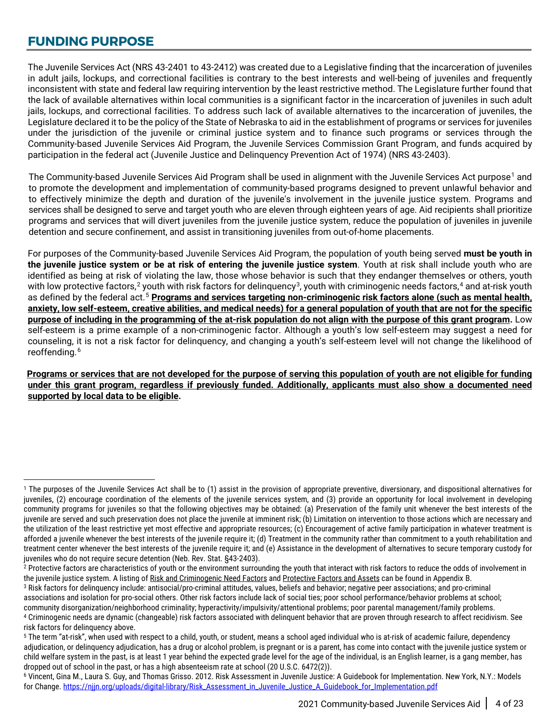## <span id="page-3-0"></span>**FUNDING PURPOSE**

The Juvenile Services Act (NRS 43-2401 to 43-2412) was created due to a Legislative finding that the incarceration of juveniles in adult jails, lockups, and correctional facilities is contrary to the best interests and well-being of juveniles and frequently inconsistent with state and federal law requiring intervention by the least restrictive method. The Legislature further found that the lack of available alternatives within local communities is a significant factor in the incarceration of juveniles in such adult jails, lockups, and correctional facilities. To address such lack of available alternatives to the incarceration of juveniles, the Legislature declared it to be the policy of the State of Nebraska to aid in the establishment of programs or services for juveniles under the jurisdiction of the juvenile or criminal justice system and to finance such programs or services through the Community-based Juvenile Services Aid Program, the Juvenile Services Commission Grant Program, and funds acquired by participation in the federal act (Juvenile Justice and Delinquency Prevention Act of 1974) (NRS 43-2403).

The Community-based Juvenile Services Aid Program shall be used in alignment with the Juvenile Services Act purpose<sup>[1](#page-3-1)</sup> and to promote the development and implementation of community-based programs designed to prevent unlawful behavior and to effectively minimize the depth and duration of the juvenile's involvement in the juvenile justice system. Programs and services shall be designed to serve and target youth who are eleven through eighteen years of age. Aid recipients shall prioritize programs and services that will divert juveniles from the juvenile justice system, reduce the population of juveniles in juvenile detention and secure confinement, and assist in transitioning juveniles from out-of-home placements.

For purposes of the Community-based Juvenile Services Aid Program, the population of youth being served **must be youth in the juvenile justice system or be at risk of entering the juvenile justice system**. Youth at risk shall include youth who are identified as being at risk of violating the law, those whose behavior is such that they endanger themselves or others, youth with low protective factors,<sup>[2](#page-3-2)</sup> youth with risk factors for delinquency $^3$  $^3$ , youth with criminogenic needs factors,<sup>[4](#page-3-4)</sup> and at-risk youth as defined by the federal act. [5](#page-3-5) **Programs and services targeting non-criminogenic risk factors alone (such as mental health, anxiety, low self-esteem, creative abilities, and medical needs) for a general population of youth that are not for the specific purpose of including in the programming of the at-risk population do not align with the purpose of this grant program.** Low self-esteem is a prime example of a non-criminogenic factor. Although a youth's low self-esteem may suggest a need for counseling, it is not a risk factor for delinquency, and changing a youth's self-esteem level will not change the likelihood of reoffending. [6](#page-3-6)

**Programs or services that are not developed for the purpose of serving this population of youth are not eligible for funding under this grant program, regardless if previously funded. Additionally, applicants must also show a documented need supported by local data to be eligible.** 

<span id="page-3-3"></span><sup>3</sup> Risk factors for delinquency include: antisocial/pro-criminal attitudes, values, beliefs and behavior; negative peer associations; and pro-criminal associations and isolation for pro-social others. Other risk factors include lack of social ties; poor school performance/behavior problems at school;<br>community disorganization/neighborhood criminality; hyperactivity/impul 4 Criminogenic needs are dynamic (changeable) risk factors associated with delinguent behavior that are proven through research to affect recidivism. See

 $\overline{a}$ 

<span id="page-3-1"></span><sup>1</sup> The purposes of the Juvenile Services Act shall be to (1) assist in the provision of appropriate preventive, diversionary, and dispositional alternatives for juveniles, (2) encourage coordination of the elements of the juvenile services system, and (3) provide an opportunity for local involvement in developing community programs for juveniles so that the following objectives may be obtained: (a) Preservation of the family unit whenever the best interests of the juvenile are served and such preservation does not place the juvenile at imminent risk; (b) Limitation on intervention to those actions which are necessary and the utilization of the least restrictive yet most effective and appropriate resources; (c) Encouragement of active family participation in whatever treatment is afforded a juvenile whenever the best interests of the juvenile require it; (d) Treatment in the community rather than commitment to a youth rehabilitation and treatment center whenever the best interests of the juvenile require it; and (e) Assistance in the development of alternatives to secure temporary custody for juveniles who do not require secure detention (Neb. Rev. Stat. §43-2403).

<span id="page-3-2"></span><sup>&</sup>lt;sup>2</sup> Protective factors are characteristics of youth or the environment surrounding the youth that interact with risk factors to reduce the odds of involvement in the juvenile justice system. A listing of Risk and Criminogenic Need Factors and Protective Factors and Assets can be found in Appendix B.

<span id="page-3-5"></span><span id="page-3-4"></span>risk factors for delinquency above.

<sup>5</sup> The term "at-risk", when used with respect to a child, youth, or student, means a school aged individual who is at-risk of academic failure, dependency adjudication, or delinquency adjudication, has a drug or alcohol problem, is pregnant or is a parent, has come into contact with the juvenile justice system or child welfare system in the past, is at least 1 year behind the expected grade level for the age of the individual, is an English learner, is a gang member, has dropped out of school in the past, or has a high absenteeism rate at school (20 U.S.C. 6472(2)).

<span id="page-3-6"></span><sup>6</sup> Vincent, Gina M., Laura S. Guy, and Thomas Grisso. 2012. Risk Assessment in Juvenile Justice: A Guidebook for Implementation. New York, N.Y.: Models for Change[. https://njjn.org/uploads/digital-library/Risk\\_Assessment\\_in\\_Juvenile\\_Justice\\_A\\_Guidebook\\_for\\_Implementation.pdf](https://njjn.org/uploads/digital-library/Risk_Assessment_in_Juvenile_Justice_A_Guidebook_for_Implementation.pdf)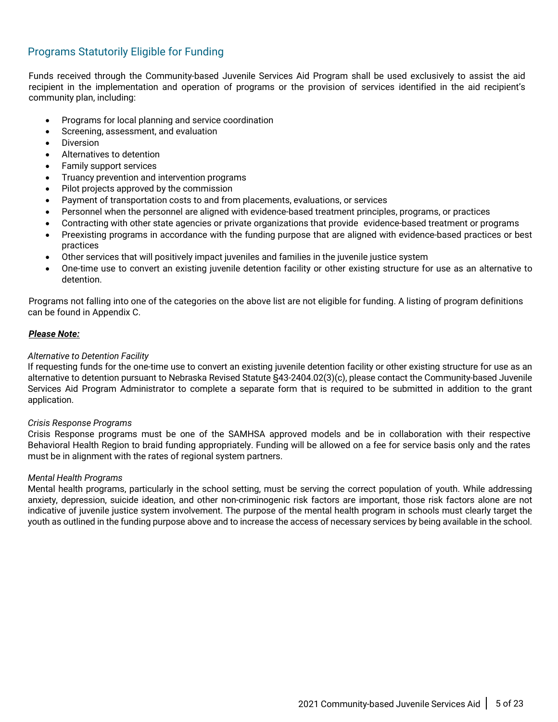### Programs Statutorily Eligible for Funding

Funds received through the Community-based Juvenile Services Aid Program shall be used exclusively to assist the aid recipient in the implementation and operation of programs or the provision of services identified in the aid recipient's community plan, including:

- Programs for local planning and service coordination
- Screening, assessment, and evaluation
- **Diversion**
- Alternatives to detention
- Family support services
- Truancy prevention and intervention programs
- Pilot projects approved by the commission
- Payment of transportation costs to and from placements, evaluations, or services
- Personnel when the personnel are aligned with evidence-based treatment principles, programs, or practices
- Contracting with other state agencies or private organizations that provide evidence-based treatment or programs
- Preexisting programs in accordance with the funding purpose that are aligned with evidence-based practices or best practices
- Other services that will positively impact juveniles and families in the juvenile justice system
- One-time use to convert an existing juvenile detention facility or other existing structure for use as an alternative to detention.

Programs not falling into one of the categories on the above list are not eligible for funding. A listing of program definitions can be found in Appendix C.

#### *Please Note:*

#### *Alternative to Detention Facility*

If requesting funds for the one-time use to convert an existing juvenile detention facility or other existing structure for use as an alternative to detention pursuant to Nebraska Revised Statute §43-2404.02(3)(c), please contact the Community-based Juvenile Services Aid Program Administrator to complete a separate form that is required to be submitted in addition to the grant application.

#### *Crisis Response Programs*

Crisis Response programs must be one of the SAMHSA approved models and be in collaboration with their respective Behavioral Health Region to braid funding appropriately. Funding will be allowed on a fee for service basis only and the rates must be in alignment with the rates of regional system partners.

#### *Mental Health Programs*

Mental health programs, particularly in the school setting, must be serving the correct population of youth. While addressing anxiety, depression, suicide ideation, and other non-criminogenic risk factors are important, those risk factors alone are not indicative of juvenile justice system involvement. The purpose of the mental health program in schools must clearly target the youth as outlined in the funding purpose above and to increase the access of necessary services by being available in the school.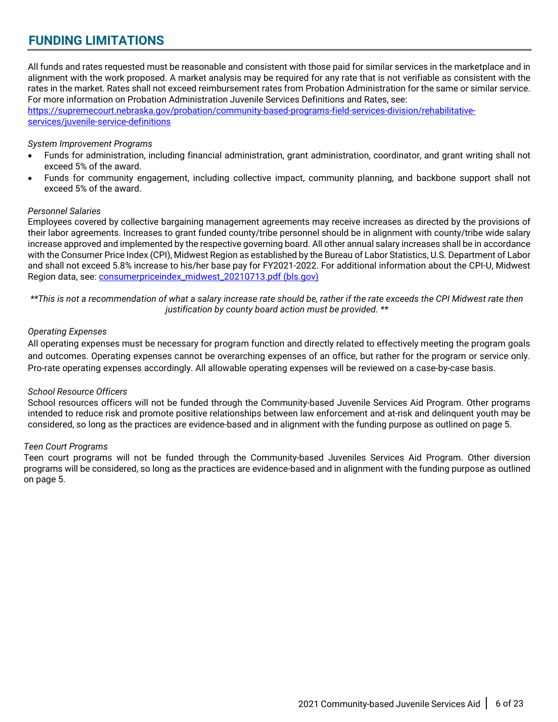## <span id="page-5-0"></span>**FUNDING LIMITATIONS**

All funds and rates requested must be reasonable and consistent with those paid for similar services in the marketplace and in alignment with the work proposed. A market analysis may be required for any rate that is not verifiable as consistent with the rates in the market. Rates shall not exceed reimbursement rates from Probation Administration for the same or similar service. For more information on Probation Administration Juvenile Services Definitions and Rates, see:

[https://supremecourt.nebraska.gov/probation/community-based-programs-field-services-division/rehabilitative](https://supremecourt.nebraska.gov/probation/community-based-programs-field-services-division/rehabilitative-services/juvenile-service-definitions)[services/juvenile-service-definitions](https://supremecourt.nebraska.gov/probation/community-based-programs-field-services-division/rehabilitative-services/juvenile-service-definitions)

#### *System Improvement Programs*

- Funds for administration, including financial administration, grant administration, coordinator, and grant writing shall not exceed 5% of the award.
- Funds for community engagement, including collective impact, community planning, and backbone support shall not exceed 5% of the award.

#### *Personnel Salaries*

Employees covered by collective bargaining management agreements may receive increases as directed by the provisions of their labor agreements. Increases to grant funded county/tribe personnel should be in alignment with county/tribe wide salary increase approved and implemented by the respective governing board. All other annual salary increases shall be in accordance with the Consumer Price Index (CPI), Midwest Region as established by the Bureau of Labor Statistics, U.S. Department of Labor and shall not exceed 5.8% increase to his/her base pay for FY2021-2022. For additional information about the CPI-U, Midwest Region data, see: [consumerpriceindex\\_midwest\\_20210713.pdf \(bls.gov\)](https://www.bls.gov/regions/mountain-plains/news-release/2021/pdf/consumerpriceindex_midwest_20210713.pdf)

*\*\*This is not a recommendation of what a salary increase rate should be, rather if the rate exceeds the CPI Midwest rate then justification by county board action must be provided. \*\**

#### *Operating Expenses*

All operating expenses must be necessary for program function and directly related to effectively meeting the program goals and outcomes. Operating expenses cannot be overarching expenses of an office, but rather for the program or service only. Pro-rate operating expenses accordingly. All allowable operating expenses will be reviewed on a case-by-case basis.

#### *School Resource Officers*

School resources officers will not be funded through the Community-based Juvenile Services Aid Program. Other programs intended to reduce risk and promote positive relationships between law enforcement and at-risk and delinquent youth may be considered, so long as the practices are evidence-based and in alignment with the funding purpose as outlined on page 5.

#### *Teen Court Programs*

Teen court programs will not be funded through the Community-based Juveniles Services Aid Program. Other diversion programs will be considered, so long as the practices are evidence-based and in alignment with the funding purpose as outlined on page 5.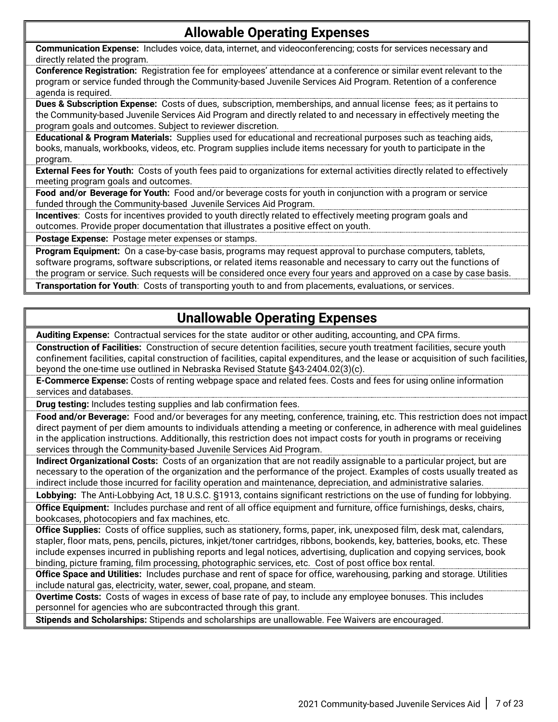## **Allowable Operating Expenses**

**Communication Expense:** Includes voice, data, internet, and videoconferencing; costs for services necessary and directly related the program.

**Conference Registration:** Registration fee for employees' attendance at a conference or similar event relevant to the program or service funded through the Community-based Juvenile Services Aid Program. Retention of a conference agenda is required.

**Dues & Subscription Expense:** Costs of dues, subscription, memberships, and annual license fees; as it pertains to the Community-based Juvenile Services Aid Program and directly related to and necessary in effectively meeting the program goals and outcomes. Subject to reviewer discretion.

**Educational & Program Materials:** Supplies used for educational and recreational purposes such as teaching aids, books, manuals, workbooks, videos, etc. Program supplies include items necessary for youth to participate in the program.

**External Fees for Youth:** Costs of youth fees paid to organizations for external activities directly related to effectively meeting program goals and outcomes.

**Food and/or Beverage for Youth:** Food and/or beverage costs for youth in conjunction with a program or service funded through the Community-based Juvenile Services Aid Program.

**Incentives**: Costs for incentives provided to youth directly related to effectively meeting program goals and outcomes. Provide proper documentation that illustrates a positive effect on youth.

**Postage Expense:** Postage meter expenses or stamps.

**Program Equipment:** On a case-by-case basis, programs may request approval to purchase computers, tablets, software programs, software subscriptions, or related items reasonable and necessary to carry out the functions of the program or service. Such requests will be considered once every four years and approved on a case by case basis. **Transportation for Youth**: Costs of transporting youth to and from placements, evaluations, or services.

## **Unallowable Operating Expenses**

**Auditing Expense:** Contractual services for the state auditor or other auditing, accounting, and CPA firms.

**Construction of Facilities:** Construction of secure detention facilities, secure youth treatment facilities, secure youth confinement facilities, capital construction of facilities, capital expenditures, and the lease or acquisition of such facilities, beyond the one-time use outlined in Nebraska Revised Statute §43-2404.02(3)(c).

**E-Commerce Expense:** Costs of renting webpage space and related fees. Costs and fees for using online information services and databases.

**Drug testing:** Includes testing supplies and lab confirmation fees.

**Food and/or Beverage:** Food and/or beverages for any meeting, conference, training, etc. This restriction does not impact direct payment of per diem amounts to individuals attending a meeting or conference, in adherence with meal guidelines in the application instructions. Additionally, this restriction does not impact costs for youth in programs or receiving services through the Community-based Juvenile Services Aid Program.

**Indirect Organizational Costs:** Costs of an organization that are not readily assignable to a particular project, but are necessary to the operation of the organization and the performance of the project. Examples of costs usually treated as indirect include those incurred for facility operation and maintenance, depreciation, and administrative salaries.

**Lobbying:** The Anti-Lobbying Act, 18 U.S.C. §1913, contains significant restrictions on the use of funding for lobbying. **Office Equipment:** Includes purchase and rent of all office equipment and furniture, office furnishings, desks, chairs, bookcases, photocopiers and fax machines, etc.

**Office Supplies:** Costs of office supplies, such as stationery, forms, paper, ink, unexposed film, desk mat, calendars, stapler, floor mats, pens, pencils, pictures, inkjet/toner cartridges, ribbons, bookends, key, batteries, books, etc. These include expenses incurred in publishing reports and legal notices, advertising, duplication and copying services, book binding, picture framing, film processing, photographic services, etc. Cost of post office box rental.

**Office Space and Utilities:** Includes purchase and rent of space for office, warehousing, parking and storage. Utilities include natural gas, electricity, water, sewer, coal, propane, and steam.

**Overtime Costs:** Costs of wages in excess of base rate of pay, to include any employee bonuses. This includes personnel for agencies who are subcontracted through this grant.

**Stipends and Scholarships:** Stipends and scholarships are unallowable. Fee Waivers are encouraged.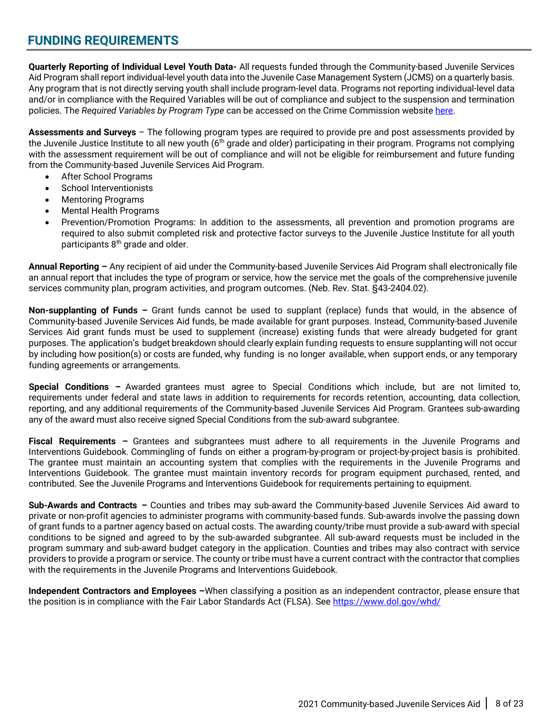## <span id="page-7-0"></span>**FUNDING REQUIREMENTS**

**Quarterly Reporting of Individual Level Youth Data-** All requests funded through the Community-based Juvenile Services Aid Program shall report individual-level youth data into the Juvenile Case Management System (JCMS) on a quarterly basis. Any program that is not directly serving youth shall include program-level data. Programs not reporting individual-level data and/or in compliance with the Required Variables will be out of compliance and subject to the suspension and termination policies. The *Required Variables by Program Type* can be accessed on the Crime Commission websit[e here.](https://ncc.nebraska.gov/sites/ncc.nebraska.gov/files/Required%20Variables%20by%20Program%20Type%20July%202020%20Final.pdf)

**Assessments and Surveys** – The following program types are required to provide pre and post assessments provided by the Juvenile Justice Institute to all new youth  $(6<sup>th</sup>$  grade and older) participating in their program. Programs not complying with the assessment requirement will be out of compliance and will not be eligible for reimbursement and future funding from the Community-based Juvenile Services Aid Program.

- After School Programs
- School Interventionists
- Mentoring Programs
- Mental Health Programs
- Prevention/Promotion Programs: In addition to the assessments, all prevention and promotion programs are required to also submit completed risk and protective factor surveys to the Juvenile Justice Institute for all youth participants 8<sup>th</sup> grade and older.

**Annual Reporting –** Any recipient of aid under the Community-based Juvenile Services Aid Program shall electronically file an annual report that includes the type of program or service, how the service met the goals of the comprehensive juvenile services community plan, program activities, and program outcomes. (Neb. Rev. Stat. §43-2404.02).

**Non-supplanting of Funds –** Grant funds cannot be used to supplant (replace) funds that would, in the absence of Community-based Juvenile Services Aid funds, be made available for grant purposes. Instead, Community-based Juvenile Services Aid grant funds must be used to supplement (increase) existing funds that were already budgeted for grant purposes. The application's budget breakdown should clearly explain funding requests to ensure supplanting will not occur by including how position(s) or costs are funded, why funding is no longer available, when support ends, or any temporary funding agreements or arrangements.

**Special Conditions –** Awarded grantees must agree to Special Conditions which include, but are not limited to, requirements under federal and state laws in addition to requirements for records retention, accounting, data collection, reporting, and any additional requirements of the Community-based Juvenile Services Aid Program. Grantees sub-awarding any of the award must also receive signed Special Conditions from the sub-award subgrantee.

**Fiscal Requirements –** Grantees and subgrantees must adhere to all requirements in the Juvenile Programs and Interventions Guidebook. Commingling of funds on either a program-by-program or project-by-project basis is prohibited. The grantee must maintain an accounting system that complies with the requirements in the Juvenile Programs and Interventions Guidebook. The grantee must maintain inventory records for program equipment purchased, rented, and contributed. See the Juvenile Programs and Interventions Guidebook for requirements pertaining to equipment.

**Sub-Awards and Contracts –** Counties and tribes may sub-award the Community-based Juvenile Services Aid award to private or non-profit agencies to administer programs with community-based funds. Sub-awards involve the passing down of grant funds to a partner agency based on actual costs. The awarding county/tribe must provide a sub-award with special conditions to be signed and agreed to by the sub-awarded subgrantee. All sub-award requests must be included in the program summary and sub-award budget category in the application. Counties and tribes may also contract with service providers to provide a program or service. The county or tribe must have a current contract with the contractor that complies with the requirements in the Juvenile Programs and Interventions Guidebook.

**Independent Contractors and Employees –**When classifying a position as an independent contractor, please ensure that the position is in compliance with the Fair Labor Standards Act (FLSA). See<https://www.dol.gov/whd/>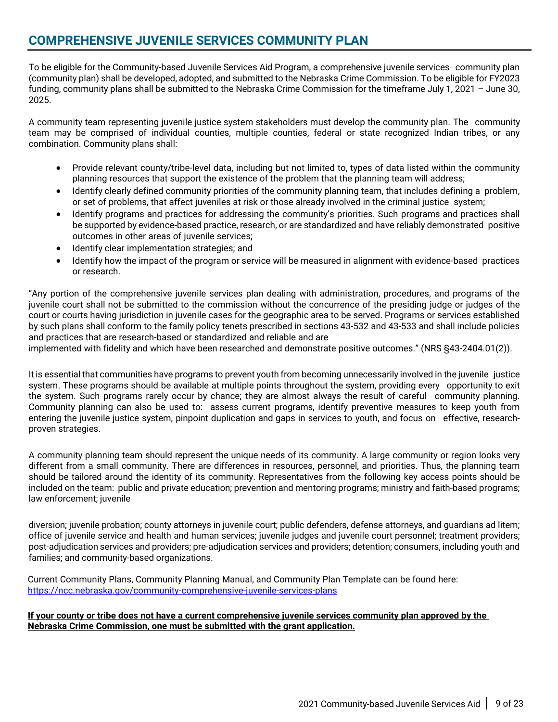## <span id="page-8-0"></span>**COMPREHENSIVE JUVENILE SERVICES COMMUNITY PLAN**

To be eligible for the Community-based Juvenile Services Aid Program, a comprehensive juvenile services community plan (community plan) shall be developed, adopted, and submitted to the Nebraska Crime Commission. To be eligible for FY2023 funding, community plans shall be submitted to the Nebraska Crime Commission for the timeframe July 1, 2021 – June 30, 2025.

A community team representing juvenile justice system stakeholders must develop the community plan. The community team may be comprised of individual counties, multiple counties, federal or state recognized Indian tribes, or any combination. Community plans shall:

- Provide relevant county/tribe-level data, including but not limited to, types of data listed within the community planning resources that support the existence of the problem that the planning team will address;
- Identify clearly defined community priorities of the community planning team, that includes defining a problem, or set of problems, that affect juveniles at risk or those already involved in the criminal justice system;
- Identify programs and practices for addressing the community's priorities. Such programs and practices shall be supported by evidence-based practice, research, or are standardized and have reliably demonstrated positive outcomes in other areas of juvenile services;
- Identify clear implementation strategies; and
- Identify how the impact of the program or service will be measured in alignment with evidence-based practices or research.

"Any portion of the comprehensive juvenile services plan dealing with administration, procedures, and programs of the juvenile court shall not be submitted to the commission without the concurrence of the presiding judge or judges of the court or courts having jurisdiction in juvenile cases for the geographic area to be served. Programs or services established by such plans shall conform to the family policy tenets prescribed in sections [43-532](https://nebraskalegislature.gov/laws/statutes.php?statute=43-532) and [43-533](https://nebraskalegislature.gov/laws/statutes.php?statute=43-533) and shall include policies and practices that are research-based or standardized and reliable and are

implemented with fidelity and which have been researched and demonstrate positive outcomes." (NRS §43-2404.01(2)).

It is essential that communities have programs to prevent youth from becoming unnecessarily involved in the juvenile justice system. These programs should be available at multiple points throughout the system, providing every opportunity to exit the system. Such programs rarely occur by chance; they are almost always the result of careful community planning. Community planning can also be used to: assess current programs, identify preventive measures to keep youth from entering the juvenile justice system, pinpoint duplication and gaps in services to youth, and focus on effective, researchproven strategies.

A community planning team should represent the unique needs of its community. A large community or region looks very different from a small community. There are differences in resources, personnel, and priorities. Thus, the planning team should be tailored around the identity of its community. Representatives from the following key access points should be included on the team: public and private education; prevention and mentoring programs; ministry and faith-based programs; law enforcement; juvenile

diversion; juvenile probation; county attorneys in juvenile court; public defenders, defense attorneys, and guardians ad litem; office of juvenile service and health and human services; juvenile judges and juvenile court personnel; treatment providers; post-adjudication services and providers; pre-adjudication services and providers; detention; consumers, including youth and families; and community-based organizations.

Current Community Plans, Community Planning Manual, and Community Plan Template can be found here: <https://ncc.nebraska.gov/community-comprehensive-juvenile-services-plans>

#### **If your county or tribe does not have a current comprehensive juvenile services community plan approved by the Nebraska Crime Commission, one must be submitted with the grant application.**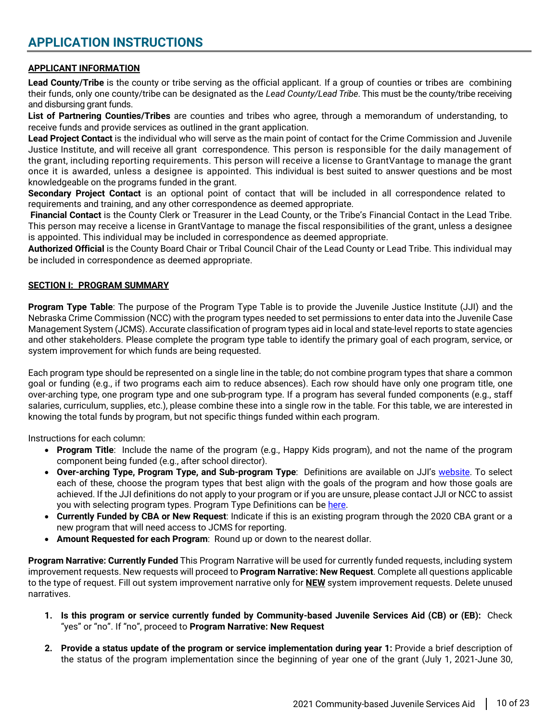#### <span id="page-9-1"></span><span id="page-9-0"></span>**APPLICANT INFORMATION**

**Lead County/Tribe** is the county or tribe serving as the official applicant. If a group of counties or tribes are combining their funds, only one county/tribe can be designated as the *Lead County/Lead Tribe*. This must be the county/tribe receiving and disbursing grant funds.

**List of Partnering Counties/Tribes** are counties and tribes who agree, through a memorandum of understanding, to receive funds and provide services as outlined in the grant application.

**Lead Project Contact** is the individual who will serve as the main point of contact for the Crime Commission and Juvenile Justice Institute, and will receive all grant correspondence. This person is responsible for the daily management of the grant, including reporting requirements. This person will receive a license to GrantVantage to manage the grant once it is awarded, unless a designee is appointed. This individual is best suited to answer questions and be most knowledgeable on the programs funded in the grant.

**Secondary Project Contact** is an optional point of contact that will be included in all correspondence related to requirements and training, and any other correspondence as deemed appropriate.

**Financial Contact** is the County Clerk or Treasurer in the Lead County, or the Tribe's Financial Contact in the Lead Tribe. This person may receive a license in GrantVantage to manage the fiscal responsibilities of the grant, unless a designee is appointed. This individual may be included in correspondence as deemed appropriate.

**Authorized Official** is the County Board Chair or Tribal Council Chair of the Lead County or Lead Tribe. This individual may be included in correspondence as deemed appropriate.

#### <span id="page-9-2"></span>**SECTION I: PROGRAM SUMMARY**

**Program Type Table**: The purpose of the Program Type Table is to provide the Juvenile Justice Institute (JJI) and the Nebraska Crime Commission (NCC) with the program types needed to set permissions to enter data into the Juvenile Case Management System (JCMS). Accurate classification of program types aid in local and state-level reports to state agencies and other stakeholders. Please complete the program type table to identify the primary goal of each program, service, or system improvement for which funds are being requested.

Each program type should be represented on a single line in the table; do not combine program types that share a common goal or funding (e.g., if two programs each aim to reduce absences). Each row should have only one program title, one over-arching type, one program type and one sub-program type. If a program has several funded components (e.g., staff salaries, curriculum, supplies, etc.), please combine these into a single row in the table. For this table, we are interested in knowing the total funds by program, but not specific things funded within each program.

Instructions for each column:

- **Program Title**: Include the name of the program (e.g., Happy Kids program), and not the name of the program component being funded (e.g., after school director).
- **Over-arching Type, Program Type, and Sub-program Type**: Definitions are available on JJI's [website.](https://www.jjinebraska.org/programs-home) To select each of these, choose the program types that best align with the goals of the program and how those goals are achieved. If the JJI definitions do not apply to your program or if you are unsure, please contact JJI or NCC to assist you with selecting program types. Program Type Definitions can be [here.](https://static1.squarespace.com/static/59511c45c534a573ac245515/t/5fda5d087500da2a04b8262e/1608146185042/Program+Definitions+Revised+12.20.20.pdf)
- **Currently Funded by CBA or New Request**: Indicate if this is an existing program through the 2020 CBA grant or a new program that will need access to JCMS for reporting.
- **Amount Requested for each Program**: Round up or down to the nearest dollar.

**Program Narrative: Currently Funded** This Program Narrative will be used for currently funded requests, including system improvement requests. New requests will proceed to **Program Narrative: New Request**. Complete all questions applicable to the type of request. Fill out system improvement narrative only for **NEW** system improvement requests. Delete unused narratives.

- **1. Is this program or service currently funded by Community-based Juvenile Services Aid (CB) or (EB):** Check "yes" or "no". If "no", proceed to **Program Narrative: New Request**
- **2. Provide a status update of the program or service implementation during year 1:** Provide a brief description of the status of the program implementation since the beginning of year one of the grant (July 1, 2021-June 30,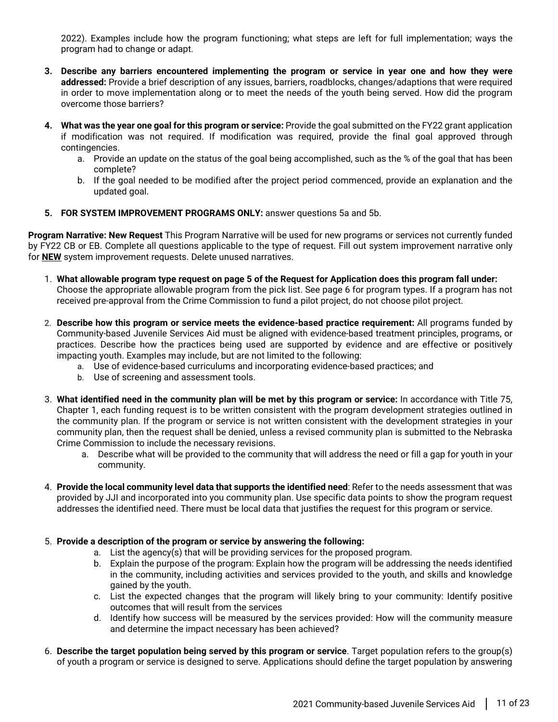2022). Examples include how the program functioning; what steps are left for full implementation; ways the program had to change or adapt.

- **3. Describe any barriers encountered implementing the program or service in year one and how they were addressed:** Provide a brief description of any issues, barriers, roadblocks, changes/adaptions that were required in order to move implementation along or to meet the needs of the youth being served. How did the program overcome those barriers?
- **4. What was the year one goal for this program or service:** Provide the goal submitted on the FY22 grant application if modification was not required. If modification was required, provide the final goal approved through contingencies.
	- a. Provide an update on the status of the goal being accomplished, such as the % of the goal that has been complete?
	- b. If the goal needed to be modified after the project period commenced, provide an explanation and the updated goal.
- **5. FOR SYSTEM IMPROVEMENT PROGRAMS ONLY:** answer questions 5a and 5b.

**Program Narrative: New Request** This Program Narrative will be used for new programs or services not currently funded by FY22 CB or EB. Complete all questions applicable to the type of request. Fill out system improvement narrative only for **NEW** system improvement requests. Delete unused narratives.

- 1. **What allowable program type request on page 5 of the Request for Application does this program fall under:** Choose the appropriate allowable program from the pick list. See page 6 for program types. If a program has not received pre-approval from the Crime Commission to fund a pilot project, do not choose pilot project.
- 2. **Describe how this program or service meets the evidence-based practice requirement:** All programs funded by Community-based Juvenile Services Aid must be aligned with evidence-based treatment principles, programs, or practices. Describe how the practices being used are supported by evidence and are effective or positively impacting youth. Examples may include, but are not limited to the following:
	- a. Use of evidence-based curriculums and incorporating evidence-based practices; and
	- b. Use of screening and assessment tools.
- 3. **What identified need in the community plan will be met by this program or service:** In accordance with Title 75, Chapter 1, each funding request is to be written consistent with the program development strategies outlined in the community plan. If the program or service is not written consistent with the development strategies in your community plan, then the request shall be denied, unless a revised community plan is submitted to the Nebraska Crime Commission to include the necessary revisions.
	- a. Describe what will be provided to the community that will address the need or fill a gap for youth in your community.
- 4. **Provide the local community level data that supports the identified need**: Refer to the needs assessment that was provided by JJI and incorporated into you community plan. Use specific data points to show the program request addresses the identified need. There must be local data that justifies the request for this program or service.

#### 5. **Provide a description of the program or service by answering the following:**

- a. List the agency(s) that will be providing services for the proposed program.
- b. Explain the purpose of the program: Explain how the program will be addressing the needs identified in the community, including activities and services provided to the youth, and skills and knowledge gained by the youth.
- c. List the expected changes that the program will likely bring to your community: Identify positive outcomes that will result from the services
- d. Identify how success will be measured by the services provided: How will the community measure and determine the impact necessary has been achieved?
- 6. **Describe the target population being served by this program or service**. Target population refers to the group(s) of youth a program or service is designed to serve. Applications should define the target population by answering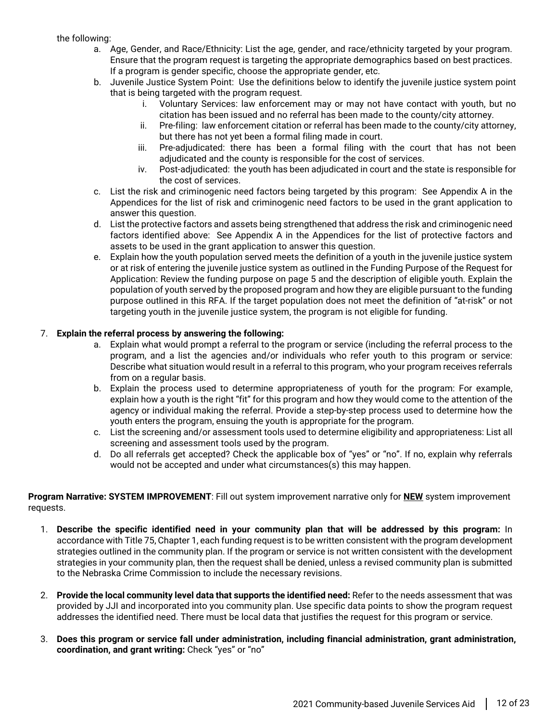#### the following:

- a. Age, Gender, and Race/Ethnicity: List the age, gender, and race/ethnicity targeted by your program. Ensure that the program request is targeting the appropriate demographics based on best practices. If a program is gender specific, choose the appropriate gender, etc.
- b. Juvenile Justice System Point: Use the definitions below to identify the juvenile justice system point that is being targeted with the program request.
	- i. Voluntary Services: law enforcement may or may not have contact with youth, but no citation has been issued and no referral has been made to the county/city attorney.
	- ii. Pre-filing: law enforcement citation or referral has been made to the county/city attorney, but there has not yet been a formal filing made in court.
	- iii. Pre-adjudicated: there has been a formal filing with the court that has not been adjudicated and the county is responsible for the cost of services.
	- iv. Post-adjudicated: the youth has been adjudicated in court and the state is responsible for the cost of services.
- c. List the risk and criminogenic need factors being targeted by this program: See Appendix A in the Appendices for the list of risk and criminogenic need factors to be used in the grant application to answer this question.
- d. List the protective factors and assets being strengthened that address the risk and criminogenic need factors identified above: See Appendix A in the Appendices for the list of protective factors and assets to be used in the grant application to answer this question.
- e. Explain how the youth population served meets the definition of a youth in the juvenile justice system or at risk of entering the juvenile justice system as outlined in the Funding Purpose of the Request for Application: Review the funding purpose on page 5 and the description of eligible youth. Explain the population of youth served by the proposed program and how they are eligible pursuant to the funding purpose outlined in this RFA. If the target population does not meet the definition of "at-risk" or not targeting youth in the juvenile justice system, the program is not eligible for funding.

#### 7. **Explain the referral process by answering the following:**

- a. Explain what would prompt a referral to the program or service (including the referral process to the program, and a list the agencies and/or individuals who refer youth to this program or service: Describe what situation would result in a referral to this program, who your program receives referrals from on a regular basis.
- b. Explain the process used to determine appropriateness of youth for the program: For example, explain how a youth is the right "fit" for this program and how they would come to the attention of the agency or individual making the referral. Provide a step-by-step process used to determine how the youth enters the program, ensuing the youth is appropriate for the program.
- c. List the screening and/or assessment tools used to determine eligibility and appropriateness: List all screening and assessment tools used by the program.
- d. Do all referrals get accepted? Check the applicable box of "yes" or "no". If no, explain why referrals would not be accepted and under what circumstances(s) this may happen.

**Program Narrative: SYSTEM IMPROVEMENT**: Fill out system improvement narrative only for **NEW** system improvement requests.

- 1. **Describe the specific identified need in your community plan that will be addressed by this program:** In accordance with Title 75, Chapter 1, each funding request is to be written consistent with the program development strategies outlined in the community plan. If the program or service is not written consistent with the development strategies in your community plan, then the request shall be denied, unless a revised community plan is submitted to the Nebraska Crime Commission to include the necessary revisions.
- 2. **Provide the local community level data that supports the identified need:** Refer to the needs assessment that was provided by JJI and incorporated into you community plan. Use specific data points to show the program request addresses the identified need. There must be local data that justifies the request for this program or service.
- 3. **Does this program or service fall under administration, including financial administration, grant administration, coordination, and grant writing:** Check "yes" or "no"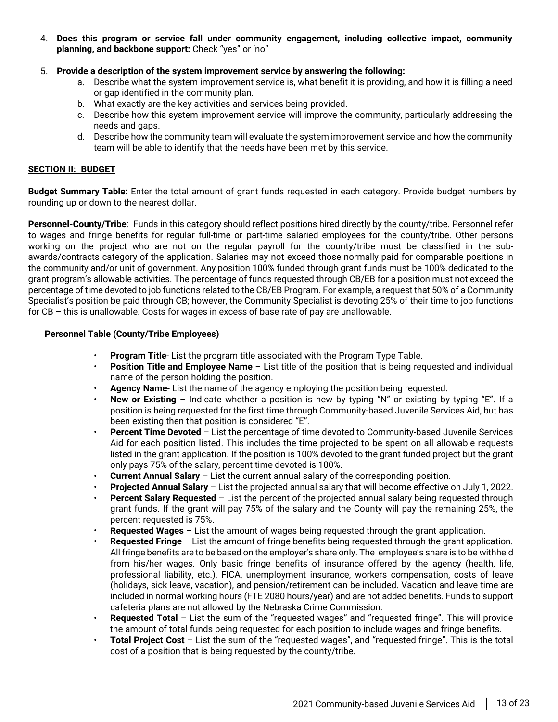- 4. **Does this program or service fall under community engagement, including collective impact, community planning, and backbone support:** Check "yes" or 'no"
- 5. **Provide a description of the system improvement service by answering the following:** 
	- a. Describe what the system improvement service is, what benefit it is providing, and how it is filling a need or gap identified in the community plan.
	- b. What exactly are the key activities and services being provided.
	- c. Describe how this system improvement service will improve the community, particularly addressing the needs and gaps.
	- d. Describe how the community team will evaluate the system improvement service and how the community team will be able to identify that the needs have been met by this service.

#### <span id="page-12-0"></span>**SECTION II: BUDGET**

**Budget Summary Table:** Enter the total amount of grant funds requested in each category. Provide budget numbers by rounding up or down to the nearest dollar.

**Personnel-County/Tribe**: Funds in this category should reflect positions hired directly by the county/tribe. Personnel refer to wages and fringe benefits for regular full-time or part-time salaried employees for the county/tribe. Other persons working on the project who are not on the regular payroll for the county/tribe must be classified in the subawards/contracts category of the application. Salaries may not exceed those normally paid for comparable positions in the community and/or unit of government. Any position 100% funded through grant funds must be 100% dedicated to the grant program's allowable activities. The percentage of funds requested through CB/EB for a position must not exceed the percentage of time devoted to job functions related to the CB/EB Program. For example, a request that 50% of a Community Specialist's position be paid through CB; however, the Community Specialist is devoting 25% of their time to job functions for CB – this is unallowable. Costs for wages in excess of base rate of pay are unallowable.

#### **Personnel Table (County/Tribe Employees)**

- **Program Title** List the program title associated with the Program Type Table.
- **Position Title and Employee Name** List title of the position that is being requested and individual name of the person holding the position.
- **Agency Name** List the name of the agency employing the position being requested.
- **New or Existing** Indicate whether a position is new by typing "N" or existing by typing "E". If a position is being requested for the first time through Community-based Juvenile Services Aid, but has been existing then that position is considered "E".
- **Percent Time Devoted** List the percentage of time devoted to Community-based Juvenile Services Aid for each position listed. This includes the time projected to be spent on all allowable requests listed in the grant application. If the position is 100% devoted to the grant funded project but the grant only pays 75% of the salary, percent time devoted is 100%.
- **Current Annual Salary** List the current annual salary of the corresponding position.
- **Projected Annual Salary** List the projected annual salary that will become effective on July 1, 2022.
- **Percent Salary Requested** List the percent of the projected annual salary being requested through grant funds. If the grant will pay 75% of the salary and the County will pay the remaining 25%, the percent requested is 75%.
- **Requested Wages** List the amount of wages being requested through the grant application.
- **Requested Fringe** List the amount of fringe benefits being requested through the grant application. All fringe benefits are to be based on the employer's share only. The employee's share is to be withheld from his/her wages. Only basic fringe benefits of insurance offered by the agency (health, life, professional liability, etc.), FICA, unemployment insurance, workers compensation, costs of leave (holidays, sick leave, vacation), and pension/retirement can be included. Vacation and leave time are included in normal working hours (FTE 2080 hours/year) and are not added benefits. Funds to support cafeteria plans are not allowed by the Nebraska Crime Commission.
- **Requested Total** List the sum of the "requested wages" and "requested fringe". This will provide the amount of total funds being requested for each position to include wages and fringe benefits.
- **Total Project Cost** List the sum of the "requested wages", and "requested fringe". This is the total cost of a position that is being requested by the county/tribe.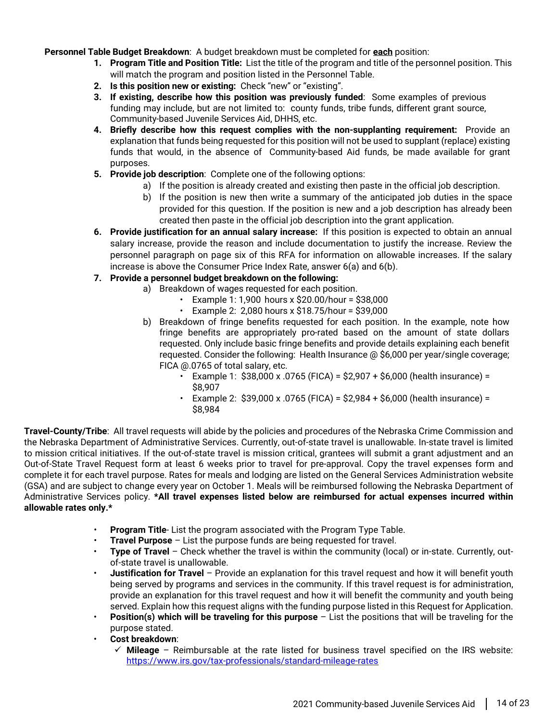**Personnel Table Budget Breakdown**: A budget breakdown must be completed for **each** position:

- **1. Program Title and Position Title:** List the title of the program and title of the personnel position. This will match the program and position listed in the Personnel Table.
- **2. Is this position new or existing:** Check "new" or "existing".
- **3. If existing, describe how this position was previously funded**: Some examples of previous funding may include, but are not limited to: county funds, tribe funds, different grant source, Community-based Juvenile Services Aid, DHHS, etc.
- **4. Briefly describe how this request complies with the non-supplanting requirement:** Provide an explanation that funds being requested for this position will not be used to supplant (replace) existing funds that would, in the absence of Community-based Aid funds, be made available for grant purposes.
- **5. Provide job description**: Complete one of the following options:
	- a) If the position is already created and existing then paste in the official job description.
	- b) If the position is new then write a summary of the anticipated job duties in the space provided for this question. If the position is new and a job description has already been created then paste in the official job description into the grant application.
- **6. Provide justification for an annual salary increase:** If this position is expected to obtain an annual salary increase, provide the reason and include documentation to justify the increase. Review the personnel paragraph on page six of this RFA for information on allowable increases. If the salary increase is above the Consumer Price Index Rate, answer 6(a) and 6(b).
- **7. Provide a personnel budget breakdown on the following:**
	- a) Breakdown of wages requested for each position.
		- $\cdot$  Example 1: 1,900 hours x \$20.00/hour = \$38,000
			- Example 2: 2,080 hours x \$18.75/hour = \$39,000
	- b) Breakdown of fringe benefits requested for each position. In the example, note how fringe benefits are appropriately pro-rated based on the amount of state dollars requested. Only include basic fringe benefits and provide details explaining each benefit requested. Consider the following: Health Insurance @ \$6,000 per year/single coverage; FICA @.0765 of total salary, etc.
		- Example 1:  $$38,000 \times .0765$  (FICA) =  $$2,907 + $6,000$  (health insurance) = \$8,907
		- Example 2:  $$39,000 \times .0765$  (FICA) =  $$2,984 + $6,000$  (health insurance) = \$8,984

**Travel-County/Tribe**: All travel requests will abide by the policies and procedures of the Nebraska Crime Commission and the Nebraska Department of Administrative Services. Currently, out-of-state travel is unallowable. In-state travel is limited to mission critical initiatives. If the out-of-state travel is mission critical, grantees will submit a grant adjustment and an Out-of-State Travel Request form at least 6 weeks prior to travel for pre-approval. Copy the travel expenses form and complete it for each travel purpose. Rates for meals and lodging are listed on the General Services Administration website (GSA) and are subject to change every year on October 1. Meals will be reimbursed following the Nebraska Department of Administrative Services policy. **\*All travel expenses listed below are reimbursed for actual expenses incurred within allowable rates only.\***

- **Program Title** List the program associated with the Program Type Table.
- **Travel Purpose** List the purpose funds are being requested for travel.
- **Type of Travel** Check whether the travel is within the community (local) or in-state. Currently, outof-state travel is unallowable.
- **Justification for Travel** Provide an explanation for this travel request and how it will benefit youth being served by programs and services in the community. If this travel request is for administration, provide an explanation for this travel request and how it will benefit the community and youth being served. Explain how this request aligns with the funding purpose listed in this Request for Application.
- **Position(s) which will be traveling for this purpose** List the positions that will be traveling for the purpose stated.
- **Cost breakdown**:
	- $\checkmark$  **Mileage** Reimbursable at the rate listed for business travel specified on the IRS website: <https://www.irs.gov/tax-professionals/standard-mileage-rates>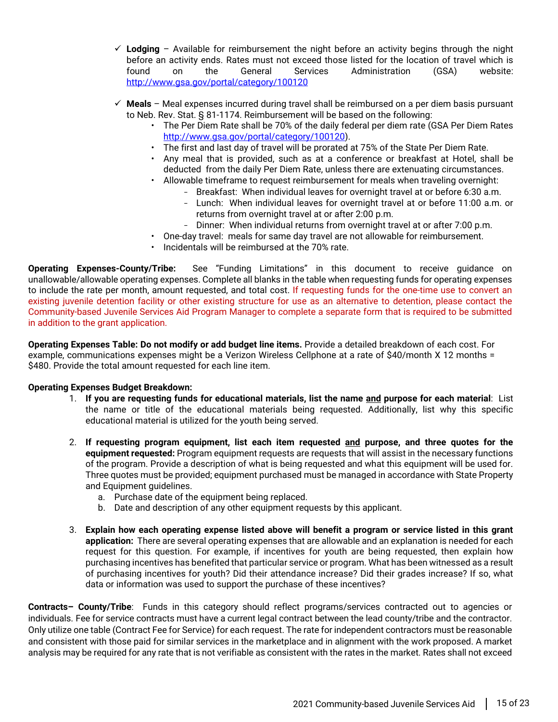- **Lodging** Available for reimbursement the night before an activity begins through the night before an activity ends. Rates must not exceed those listed for the location of travel which is found on the General Services Administration (GSA) website: <http://www.gsa.gov/portal/category/100120>
- **Meals** Meal expenses incurred during travel shall be reimbursed on a per diem basis pursuant to Neb. Rev. Stat. § 81-1174. Reimbursement will be based on the following:
	- The Per Diem Rate shall be 70% of the daily federal per diem rate (GSA Per Diem Rates [http://www.gsa.gov/portal/category/100120\)](http://www.gsa.gov/portal/category/100120).
	- The first and last day of travel will be prorated at 75% of the State Per Diem Rate.
	- Any meal that is provided, such as at a conference or breakfast at Hotel, shall be deducted from the daily Per Diem Rate, unless there are extenuating circumstances.
	- Allowable timeframe to request reimbursement for meals when traveling overnight:
		- Breakfast: When individual leaves for overnight travel at or before 6:30 a.m.
			- Lunch: When individual leaves for overnight travel at or before 11:00 a.m. or returns from overnight travel at or after 2:00 p.m.
		- Dinner: When individual returns from overnight travel at or after 7:00 p.m.
	- One-day travel: meals for same day travel are not allowable for reimbursement.
	- Incidentals will be reimbursed at the 70% rate.

**Operating Expenses-County/Tribe:** See "Funding Limitations" in this document to receive guidance on unallowable/allowable operating expenses. Complete all blanks in the table when requesting funds for operating expenses to include the rate per month, amount requested, and total cost. If requesting funds for the one-time use to convert an existing juvenile detention facility or other existing structure for use as an alternative to detention, please contact the Community-based Juvenile Services Aid Program Manager to complete a separate form that is required to be submitted in addition to the grant application.

**Operating Expenses Table: Do not modify or add budget line items.** Provide a detailed breakdown of each cost. For example, communications expenses might be a Verizon Wireless Cellphone at a rate of \$40/month X 12 months = \$480. Provide the total amount requested for each line item.

#### **Operating Expenses Budget Breakdown:**

- 1. **If you are requesting funds for educational materials, list the name and purpose for each material**: List the name or title of the educational materials being requested. Additionally, list why this specific educational material is utilized for the youth being served.
- 2. **If requesting program equipment, list each item requested and purpose, and three quotes for the equipment requested:** Program equipment requests are requests that will assist in the necessary functions of the program. Provide a description of what is being requested and what this equipment will be used for. Three quotes must be provided; equipment purchased must be managed in accordance with State Property and Equipment guidelines.
	- a. Purchase date of the equipment being replaced.
	- b. Date and description of any other equipment requests by this applicant.
- 3. **Explain how each operating expense listed above will benefit a program or service listed in this grant application:** There are several operating expenses that are allowable and an explanation is needed for each request for this question. For example, if incentives for youth are being requested, then explain how purchasing incentives has benefited that particular service or program. What has been witnessed as a result of purchasing incentives for youth? Did their attendance increase? Did their grades increase? If so, what data or information was used to support the purchase of these incentives?

**Contracts– County/Tribe**: Funds in this category should reflect programs/services contracted out to agencies or individuals. Fee for service contracts must have a current legal contract between the lead county/tribe and the contractor. Only utilize one table (Contract Fee for Service) for each request. The rate for independent contractors must be reasonable and consistent with those paid for similar services in the marketplace and in alignment with the work proposed. A market analysis may be required for any rate that is not verifiable as consistent with the rates in the market. Rates shall not exceed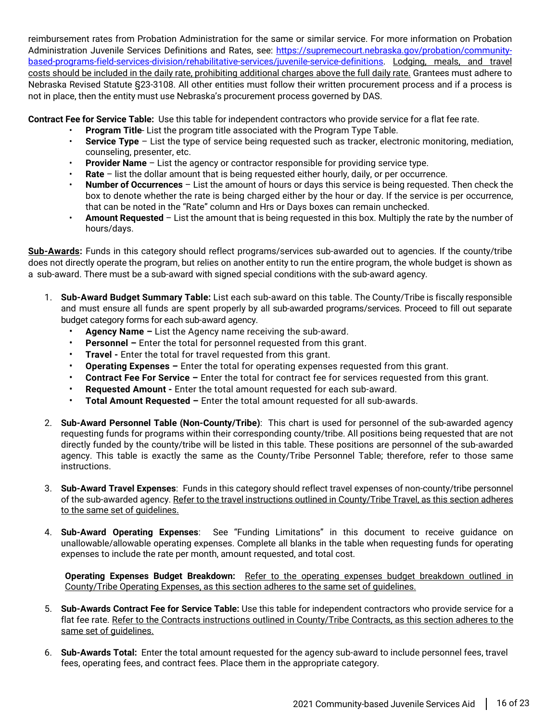reimbursement rates from Probation Administration for the same or similar service. For more information on Probation Administration Juvenile Services Definitions and Rates, see: [https://supremecourt.nebraska.gov/probation/community](https://supremecourt.nebraska.gov/probation/community-based-programs-field-services-division/rehabilitative-services/juvenile-service-definitions)[based-programs-field-services-division/rehabilitative-services/juvenile-service-definitions.](https://supremecourt.nebraska.gov/probation/community-based-programs-field-services-division/rehabilitative-services/juvenile-service-definitions) Lodging, meals, and travel costs should be included in the daily rate, prohibiting additional charges above the full daily rate. Grantees must adhere to Nebraska Revised Statute §23-3108. All other entities must follow their written procurement process and if a process is not in place, then the entity must use Nebraska's procurement process governed by DAS.

**Contract Fee for Service Table:** Use this table for independent contractors who provide service for a flat fee rate.

- **Program Title** List the program title associated with the Program Type Table.
- **Service Type** List the type of service being requested such as tracker, electronic monitoring, mediation, counseling, presenter, etc.
- **Provider Name** List the agency or contractor responsible for providing service type.
- **Rate** list the dollar amount that is being requested either hourly, daily, or per occurrence.
- **Number of Occurrences** List the amount of hours or days this service is being requested. Then check the box to denote whether the rate is being charged either by the hour or day. If the service is per occurrence, that can be noted in the "Rate" column and Hrs or Days boxes can remain unchecked.
- **Amount Requested** List the amount that is being requested in this box. Multiply the rate by the number of hours/days.

**Sub-Awards:** Funds in this category should reflect programs/services sub-awarded out to agencies. If the county/tribe does not directly operate the program, but relies on another entity to run the entire program, the whole budget is shown as a sub-award. There must be a sub-award with signed special conditions with the sub-award agency.

- 1. **Sub-Award Budget Summary Table:** List each sub-award on this table. The County/Tribe is fiscally responsible and must ensure all funds are spent properly by all sub-awarded programs/services. Proceed to fill out separate budget category forms for each sub-award agency.
	- **Agency Name –** List the Agency name receiving the sub-award.
	- **Personnel –** Enter the total for personnel requested from this grant.
	- **Travel -** Enter the total for travel requested from this grant.
	- **Operating Expenses –** Enter the total for operating expenses requested from this grant.
	- **Contract Fee For Service –** Enter the total for contract fee for services requested from this grant.
	- **Requested Amount -** Enter the total amount requested for each sub-award.
	- **Total Amount Requested –** Enter the total amount requested for all sub-awards.
- 2. **Sub-Award Personnel Table (Non-County/Tribe)**: This chart is used for personnel of the sub-awarded agency requesting funds for programs within their corresponding county/tribe. All positions being requested that are not directly funded by the county/tribe will be listed in this table. These positions are personnel of the sub-awarded agency. This table is exactly the same as the County/Tribe Personnel Table; therefore, refer to those same instructions.
- 3. **Sub-Award Travel Expenses**: Funds in this category should reflect travel expenses of non-county/tribe personnel of the sub-awarded agency. Refer to the travel instructions outlined in County/Tribe Travel, as this section adheres to the same set of guidelines.
- 4. **Sub-Award Operating Expenses**: See "Funding Limitations" in this document to receive guidance on unallowable/allowable operating expenses. Complete all blanks in the table when requesting funds for operating expenses to include the rate per month, amount requested, and total cost.

**Operating Expenses Budget Breakdown:** Refer to the operating expenses budget breakdown outlined in County/Tribe Operating Expenses, as this section adheres to the same set of guidelines.

- 5. **Sub-Awards Contract Fee for Service Table:** Use this table for independent contractors who provide service for a flat fee rate. Refer to the Contracts instructions outlined in County/Tribe Contracts, as this section adheres to the same set of guidelines.
- 6. **Sub-Awards Total:** Enter the total amount requested for the agency sub-award to include personnel fees, travel fees, operating fees, and contract fees. Place them in the appropriate category.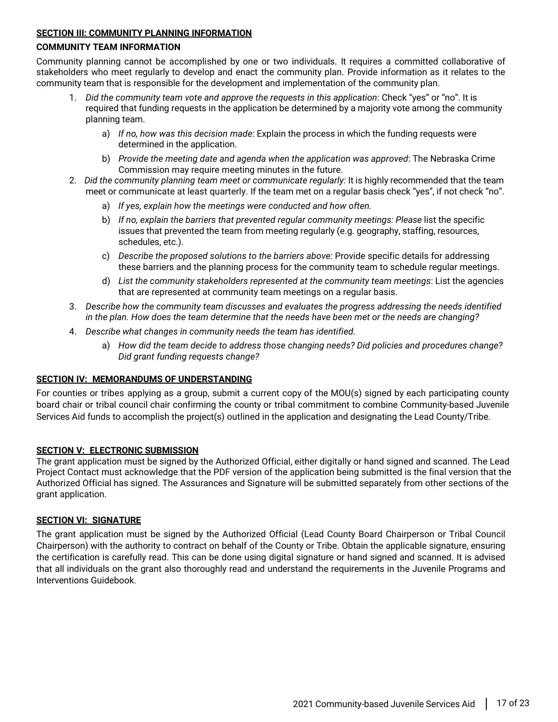#### <span id="page-16-0"></span>**SECTION III: COMMUNITY PLANNING INFORMATION**

#### **COMMUNITY TEAM INFORMATION**

Community planning cannot be accomplished by one or two individuals. It requires a committed collaborative of stakeholders who meet regularly to develop and enact the community plan. Provide information as it relates to the community team that is responsible for the development and implementation of the community plan.

- 1. *Did the community team vote and approve the requests in this application*: Check "yes" or "no". It is required that funding requests in the application be determined by a majority vote among the community planning team.
	- a) *If no, how was this decision made*: Explain the process in which the funding requests were determined in the application.
	- b) *Provide the meeting date and agenda when the application was approved*: The Nebraska Crime Commission may require meeting minutes in the future.
- 2. *Did the community planning team meet or communicate regularly:* It is highly recommended that the team meet or communicate at least quarterly. If the team met on a regular basis check "yes", if not check "no".
	- a) *If yes, explain how the meetings were conducted and how often.*
	- b) *If no, explain the barriers that prevented regular community meetings: Please* list the specific issues that prevented the team from meeting regularly (e.g. geography, staffing, resources, schedules, etc.).
	- c) *Describe the proposed solutions to the barriers above:* Provide specific details for addressing these barriers and the planning process for the community team to schedule regular meetings.
	- d) *List the community stakeholders represented at the community team meetings*: List the agencies that are represented at community team meetings on a regular basis.
- 3. *Describe how the community team discusses and evaluates the progress addressing the needs identified in the plan. How does the team determine that the needs have been met or the needs are changing?*
- 4. *Describe what changes in community needs the team has identified.* 
	- a) *How did the team decide to address those changing needs? Did policies and procedures change? Did grant funding requests change?*

#### <span id="page-16-1"></span>**SECTION IV: MEMORANDUMS OF UNDERSTANDING**

For counties or tribes applying as a group, submit a current copy of the MOU(s) signed by each participating county board chair or tribal council chair confirming the county or tribal commitment to combine Community-based Juvenile Services Aid funds to accomplish the project(s) outlined in the application and designating the Lead County/Tribe.

#### <span id="page-16-2"></span>**SECTION V: ELECTRONIC SUBMISSION**

The grant application must be signed by the Authorized Official, either digitally or hand signed and scanned. The Lead Project Contact must acknowledge that the PDF version of the application being submitted is the final version that the Authorized Official has signed. The Assurances and Signature will be submitted separately from other sections of the grant application.

#### <span id="page-16-3"></span>**SECTION VI: SIGNATURE**

The grant application must be signed by the Authorized Official (Lead County Board Chairperson or Tribal Council Chairperson) with the authority to contract on behalf of the County or Tribe. Obtain the applicable signature, ensuring the certification is carefully read. This can be done using digital signature or hand signed and scanned. It is advised that all individuals on the grant also thoroughly read and understand the requirements in the Juvenile Programs and Interventions Guidebook.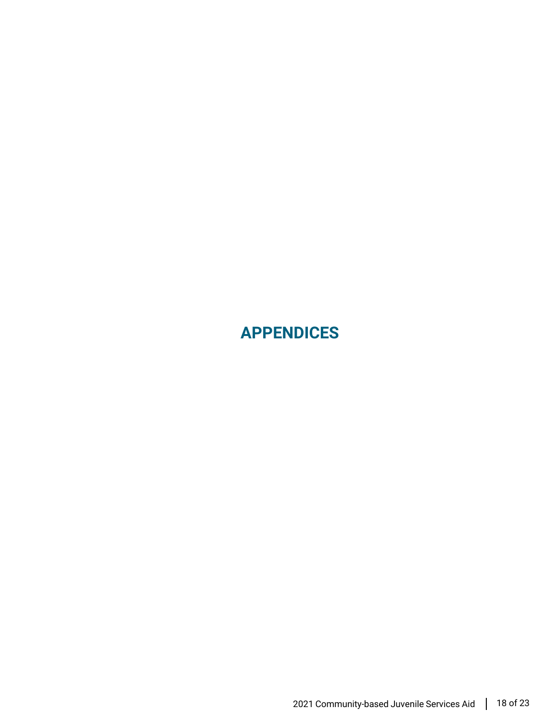<span id="page-17-0"></span>**APPENDICES**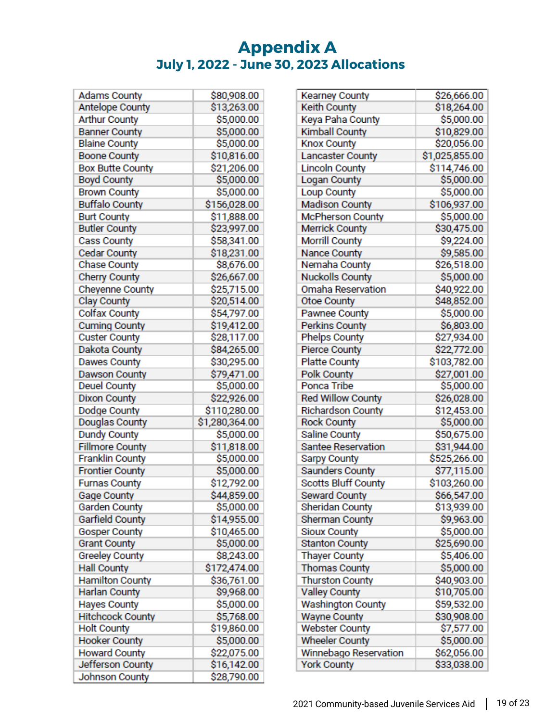## **Appendix A July 1, 2022 - June 30, 2023 Allocations**

<span id="page-18-0"></span>

| Adams County            | \$80,908.00    |
|-------------------------|----------------|
| <b>Antelope County</b>  | \$13,263.00    |
| <b>Arthur County</b>    | \$5,000.00     |
| <b>Banner County</b>    | \$5,000.00     |
| <b>Blaine County</b>    | \$5,000.00     |
| <b>Boone County</b>     | \$10,816.00    |
| <b>Box Butte County</b> | \$21,206.00    |
| <b>Boyd County</b>      | \$5,000.00     |
| <b>Brown County</b>     | \$5,000.00     |
| <b>Buffalo County</b>   | \$156,028.00   |
| <b>Burt County</b>      | \$11,888.00    |
| <b>Butler County</b>    | \$23,997.00    |
| <b>Cass County</b>      | \$58,341.00    |
| <b>Cedar County</b>     | \$18,231.00    |
| <b>Chase County</b>     | \$8,676.00     |
| <b>Cherry County</b>    | \$26,667.00    |
| Cheyenne County         | \$25,715.00    |
| Clay County             | \$20,514.00    |
| <b>Colfax County</b>    | \$54,797.00    |
| <b>Cuming County</b>    | \$19,412.00    |
| <b>Custer County</b>    | \$28,117.00    |
| Dakota County           | \$84,265.00    |
| Dawes County            | \$30,295.00    |
| <b>Dawson County</b>    | \$79,471.00    |
| <b>Deuel County</b>     | \$5,000.00     |
| <b>Dixon County</b>     | \$22,926.00    |
| Dodge County            | \$110,280.00   |
| Douglas County          | \$1,280,364.00 |
| <b>Dundy County</b>     | \$5,000.00     |
| <b>Fillmore County</b>  | \$11,818.00    |
| <b>Franklin County</b>  | \$5,000.00     |
| <b>Frontier County</b>  | \$5,000.00     |
| <b>Furnas County</b>    | \$12,792.00    |
| <b>Gage County</b>      | \$44,859.00    |
| Garden County           | \$5,000.00     |
| <b>Garfield County</b>  | \$14,955.00    |
| <b>Gosper County</b>    | \$10,465.00    |
| <b>Grant County</b>     | \$5,000.00     |
| <b>Greeley County</b>   | \$8,243.00     |
| <b>Hall County</b>      | \$172,474.00   |
| <b>Hamilton County</b>  | \$36,761.00    |
| <b>Harlan County</b>    | \$9,968.00     |
| <b>Hayes County</b>     | \$5,000.00     |
| <b>Hitchcock County</b> | \$5,768.00     |
| <b>Holt County</b>      | \$19,860.00    |
| <b>Hooker County</b>    | \$5,000.00     |
| <b>Howard County</b>    | \$22,075.00    |
| Jefferson County        | \$16,142.00    |
| <b>Johnson County</b>   | \$28,790.00    |

| <b>Kearney County</b>      | \$26,666.00    |
|----------------------------|----------------|
| Keith County               | \$18,264.00    |
| Keya Paha County           | \$5,000.00     |
| <b>Kimball County</b>      | \$10,829.00    |
| <b>Knox County</b>         | \$20,056.00    |
| Lancaster County           | \$1,025,855.00 |
| <b>Lincoln County</b>      | \$114,746.00   |
| Logan County               | \$5,000.00     |
| Loup County                | \$5,000.00     |
| <b>Madison County</b>      | \$106,937.00   |
| <b>McPherson County</b>    | \$5,000.00     |
| <b>Merrick County</b>      | \$30,475.00    |
| <b>Morrill County</b>      | \$9,224.00     |
| Nance County               | \$9,585.00     |
| Nemaha County              | \$26,518.00    |
| <b>Nuckolls County</b>     | \$5,000.00     |
| Omaha Reservation          | \$40,922.00    |
| <b>Otoe County</b>         | \$48,852.00    |
| Pawnee County              | \$5,000.00     |
| <b>Perkins County</b>      | \$6,803.00     |
| <b>Phelps County</b>       | \$27,934.00    |
| <b>Pierce County</b>       | \$22,772.00    |
| <b>Platte County</b>       | \$103,782.00   |
| <b>Polk County</b>         | \$27,001.00    |
| Ponca Tribe                | \$5,000.00     |
|                            |                |
| <b>Red Willow County</b>   | \$26,028.00    |
| <b>Richardson County</b>   | \$12,453.00    |
| <b>Rock County</b>         | \$5,000.00     |
| <b>Saline County</b>       | \$50,675.00    |
| <b>Santee Reservation</b>  | \$31,944.00    |
| Sarpy County               | \$525,266.00   |
| <b>Saunders County</b>     | \$77,115.00    |
| <b>Scotts Bluff County</b> | \$103,260.00   |
| Seward County              | \$66,547.00    |
| Sheridan County            | \$13,939.00    |
| Sherman County             | \$9,963.00     |
| <b>Sioux County</b>        | \$5,000.00     |
| <b>Stanton County</b>      | \$25,690.00    |
| <b>Thayer County</b>       | \$5,406.00     |
| <b>Thomas County</b>       | \$5,000.00     |
| <b>Thurston County</b>     | \$40,903.00    |
| <b>Valley County</b>       | \$10,705.00    |
| <b>Washington County</b>   | \$59,532.00    |
| <b>Wayne County</b>        | \$30,908.00    |
| <b>Webster County</b>      | \$7,577.00     |
| <b>Wheeler County</b>      | \$5,000.00     |
| Winnebago Reservation      | \$62,056.00    |
| <b>York County</b>         | \$33,038.00    |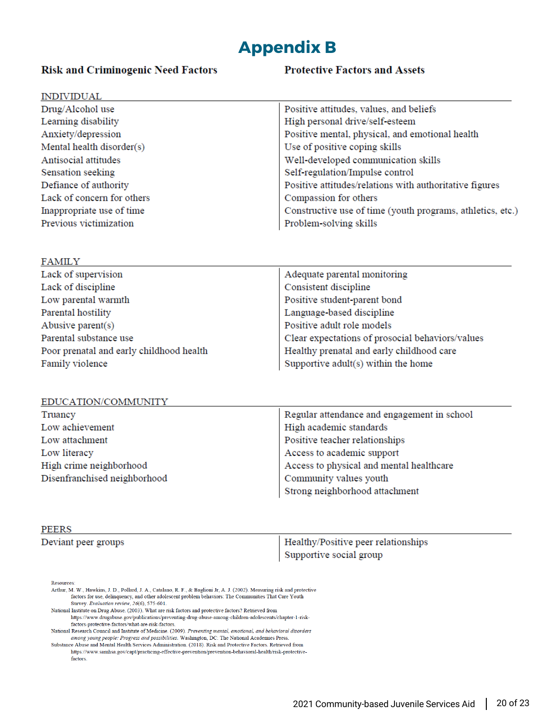## <span id="page-19-0"></span>**Appendix B**

#### **Risk and Criminogenic Need Factors**

#### **Protective Factors and Assets**

| <b>INDIVIDUAL</b>          |                                                            |
|----------------------------|------------------------------------------------------------|
| Drug/Alcohol use           | Positive attitudes, values, and beliefs                    |
| Learning disability        | High personal drive/self-esteem                            |
| Anxiety/depression         | Positive mental, physical, and emotional health            |
| Mental health disorder(s)  | Use of positive coping skills                              |
| Antisocial attitudes       | Well-developed communication skills                        |
| Sensation seeking          | Self-regulation/Impulse control                            |
| Defiance of authority      | Positive attitudes/relations with authoritative figures    |
| Lack of concern for others | Compassion for others                                      |
| Inappropriate use of time  | Constructive use of time (youth programs, athletics, etc.) |
| Previous victimization     | Problem-solving skills                                     |

| FAMIL Y                                  |                                                  |
|------------------------------------------|--------------------------------------------------|
| Lack of supervision                      | Adequate parental monitoring                     |
| Lack of discipline                       | Consistent discipline                            |
| Low parental warmth                      | Positive student-parent bond                     |
| Parental hostility                       | Language-based discipline                        |
| Abusive parent $(s)$                     | Positive adult role models                       |
| Parental substance use                   | Clear expectations of prosocial behaviors/values |
| Poor prenatal and early childhood health | Healthy prenatal and early childhood care        |
| Family violence                          | Supportive adult(s) within the home              |
|                                          |                                                  |

#### EDUCATION/COMMUNITY

| Truancy                      | Regular attendance and engagement in school |
|------------------------------|---------------------------------------------|
| Low achievement              | High academic standards                     |
| Low attachment               | Positive teacher relationships              |
| Low literacy                 | Access to academic support                  |
| High crime neighborhood      | Access to physical and mental healthcare    |
| Disenfranchised neighborhood | Community values youth                      |
|                              | Strong neighborhood attachment              |

#### PEERS

**DANATT XZ** 

#### Deviant peer groups

Healthy/Positive peer relationships Supportive social group

Resources:

- Arthur, M. W., Hawkins, J. D., Pollard, J. A., Catalano, R. F., & Baglioni Jr, A. J. (2002). Measuring risk and protective factors for use, delinquency, and other adolescent problem behaviors: The Communities That Care Youth Survey. Evaluation review, 26(6), 575-601.
- National Institute on Drug Abuse. (2003). What are risk factors and protective factors? Retrieved from The mean of the property of the actions and protective factors: recircled flow<br>https://www.drugabuse.gov/publications/preventing-drug-abuse-among-children-adolescents/chapter-1-risk-<br>factors-protective-factors/what-are-ris National Research Council and Institute of Medicine. (2009). Preventing mental, emotional, and behavioral disorders
- among young people: Progress and possibilities. Washington, DC: The National Academies Press. Substance Abuse and Mental Health Services Administration. (2018). Risk and Protective Factors. Retrieved from
	- $\textit{https://www.samhsa.gov/capt/practicing-effective-prevention/prevention-behavored-health/risk-protective-1}$ factors.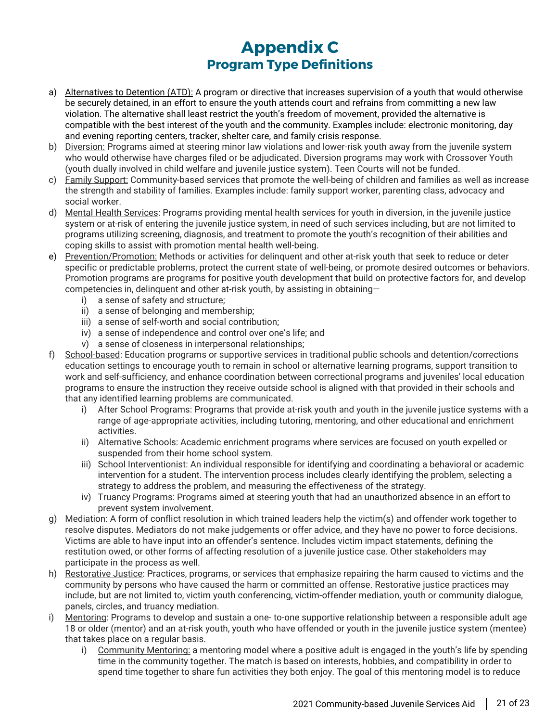## **Appendix C Program Type Definitions**

- <span id="page-20-1"></span><span id="page-20-0"></span>a) Alternatives to Detention (ATD): A program or directive that increases supervision of a youth that would otherwise be securely detained, in an effort to ensure the youth attends court and refrains from committing a new law violation. The alternative shall least restrict the youth's freedom of movement, provided the alternative is compatible with the best interest of the youth and the community. Examples include: electronic monitoring, day and evening reporting centers, tracker, shelter care, and family crisis response.
- b) Diversion: Programs aimed at steering minor law violations and lower-risk youth away from the juvenile system who would otherwise have charges filed or be adjudicated. Diversion programs may work with Crossover Youth (youth dually involved in child welfare and juvenile justice system). Teen Courts will not be funded.
- c) Family Support: Community-based services that promote the well-being of children and families as well as increase the strength and stability of families. Examples include: family support worker, parenting class, advocacy and social worker.
- d) Mental Health Services: Programs providing mental health services for youth in diversion, in the juvenile justice system or at-risk of entering the juvenile justice system, in need of such services including, but are not limited to programs utilizing screening, diagnosis, and treatment to promote the youth's recognition of their abilities and coping skills to assist with promotion mental health well-being.
- e) Prevention/Promotion: Methods or activities for delinquent and other at-risk youth that seek to reduce or deter specific or predictable problems, protect the current state of well-being, or promote desired outcomes or behaviors. Promotion programs are programs for positive youth development that build on protective factors for, and develop competencies in, delinquent and other at-risk youth, by assisting in obtaining
	- i) a sense of safety and structure;
	- ii) a sense of belonging and membership;
	- iii) a sense of self-worth and social contribution;
	- iv) a sense of independence and control over one's life; and
	- v) a sense of closeness in interpersonal relationships;
- f) School-based: Education programs or supportive services in traditional public schools and detention/corrections education settings to encourage youth to remain in school or alternative learning programs, support transition to work and self-sufficiency, and enhance coordination between correctional programs and juveniles' local education programs to ensure the instruction they receive outside school is aligned with that provided in their schools and that any identified learning problems are communicated.
	- i) After School Programs: Programs that provide at-risk youth and youth in the juvenile justice systems with a range of age-appropriate activities, including tutoring, mentoring, and other educational and enrichment activities.
	- ii) Alternative Schools: Academic enrichment programs where services are focused on youth expelled or suspended from their home school system.
	- iii) School Interventionist: An individual responsible for identifying and coordinating a behavioral or academic intervention for a student. The intervention process includes clearly identifying the problem, selecting a strategy to address the problem, and measuring the effectiveness of the strategy.
	- iv) Truancy Programs: Programs aimed at steering youth that had an unauthorized absence in an effort to prevent system involvement.
- g) Mediation: A form of conflict resolution in which trained leaders help the victim(s) and offender work together to resolve disputes. Mediators do not make judgements or offer advice, and they have no power to force decisions. Victims are able to have input into an offender's sentence. Includes victim impact statements, defining the restitution owed, or other forms of affecting resolution of a juvenile justice case. Other stakeholders may participate in the process as well.
- h) Restorative Justice: Practices, programs, or services that emphasize repairing the harm caused to victims and the community by persons who have caused the harm or committed an offense. Restorative justice practices may include, but are not limited to, victim youth conferencing, victim-offender mediation, youth or community dialogue, panels, circles, and truancy mediation.
- i) Mentoring: Programs to develop and sustain a one-to-one supportive relationship between a responsible adult age 18 or older (mentor) and an at-risk youth, youth who have offended or youth in the juvenile justice system (mentee) that takes place on a regular basis.
	- i) Community Mentoring: a mentoring model where a positive adult is engaged in the youth's life by spending time in the community together. The match is based on interests, hobbies, and compatibility in order to spend time together to share fun activities they both enjoy. The goal of this mentoring model is to reduce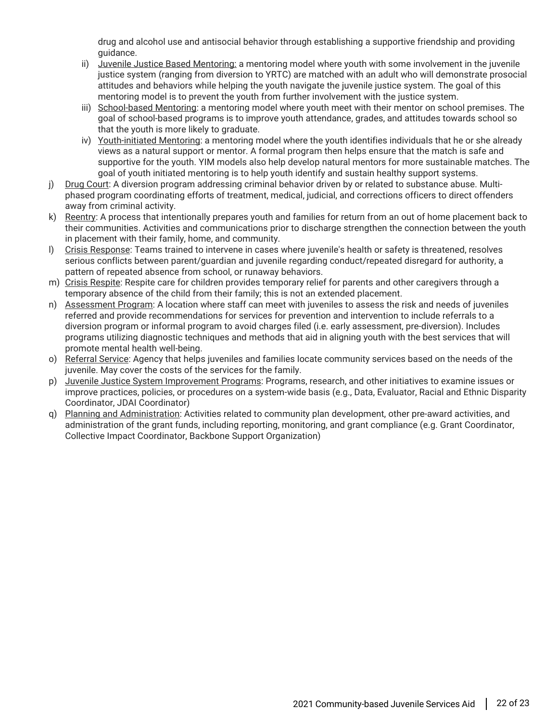drug and alcohol use and antisocial behavior through establishing a supportive friendship and providing guidance.

- ii) Juvenile Justice Based Mentoring: a mentoring model where youth with some involvement in the juvenile justice system (ranging from diversion to YRTC) are matched with an adult who will demonstrate prosocial attitudes and behaviors while helping the youth navigate the juvenile justice system. The goal of this mentoring model is to prevent the youth from further involvement with the justice system.
- iii) School-based Mentoring: a mentoring model where youth meet with their mentor on school premises. The goal of school-based programs is to improve youth attendance, grades, and attitudes towards school so that the youth is more likely to graduate.
- iv) Youth-initiated Mentoring: a mentoring model where the youth identifies individuals that he or she already views as a natural support or mentor. A formal program then helps ensure that the match is safe and supportive for the youth. YIM models also help develop natural mentors for more sustainable matches. The goal of youth initiated mentoring is to help youth identify and sustain healthy support systems.
- j) Drug Court: A diversion program addressing criminal behavior driven by or related to substance abuse. Multiphased program coordinating efforts of treatment, medical, judicial, and corrections officers to direct offenders away from criminal activity.
- k) Reentry: A process that intentionally prepares youth and families for return from an out of home placement back to their communities. Activities and communications prior to discharge strengthen the connection between the youth in placement with their family, home, and community.
- l) Crisis Response: Teams trained to intervene in cases where juvenile's health or safety is threatened, resolves serious conflicts between parent/guardian and juvenile regarding conduct/repeated disregard for authority, a pattern of repeated absence from school, or runaway behaviors.
- m) Crisis Respite: Respite care for children provides temporary relief for parents and other caregivers through a temporary absence of the child from their family; this is not an extended placement.
- n) Assessment Program: A location where staff can meet with juveniles to assess the risk and needs of juveniles referred and provide recommendations for services for prevention and intervention to include referrals to a diversion program or informal program to avoid charges filed (i.e. early assessment, pre-diversion). Includes programs utilizing diagnostic techniques and methods that aid in aligning youth with the best services that will promote mental health well-being.
- o) Referral Service: Agency that helps juveniles and families locate community services based on the needs of the juvenile. May cover the costs of the services for the family.
- p) Juvenile Justice System Improvement Programs: Programs, research, and other initiatives to examine issues or improve practices, policies, or procedures on a system-wide basis (e.g., Data, Evaluator, Racial and Ethnic Disparity Coordinator, JDAI Coordinator)
- q) Planning and Administration: Activities related to community plan development, other pre-award activities, and administration of the grant funds, including reporting, monitoring, and grant compliance (e.g. Grant Coordinator, Collective Impact Coordinator, Backbone Support Organization)